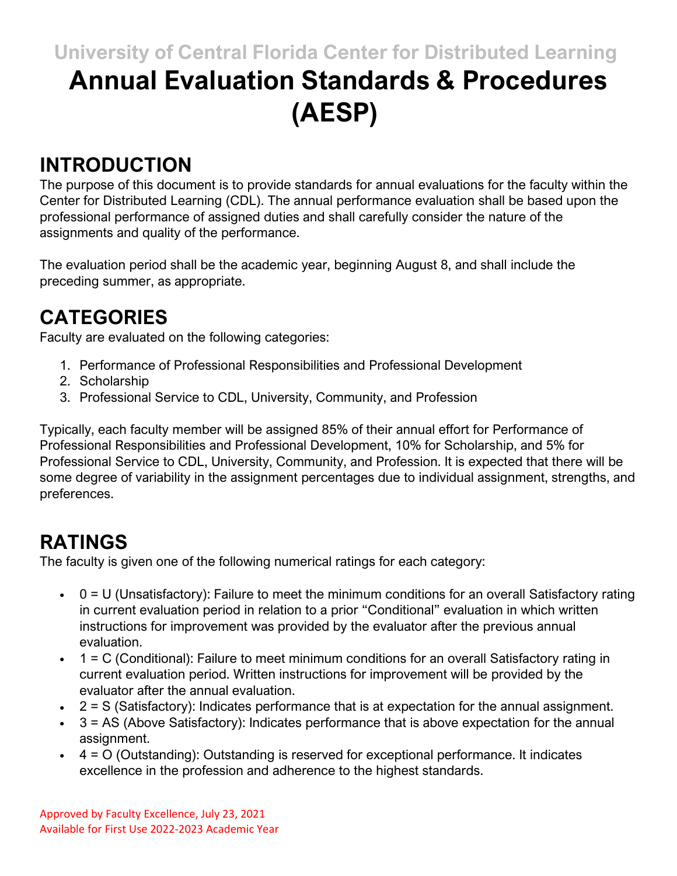# **University of Central Florida Center for Distributed Learning Annual Evaluation Standards & Procedures**

# **(AESP)**

#### **INTRODUCTION**

The purpose of this document is to provide standards for annual evaluations for the faculty within the Center for Distributed Learning (CDL). The annual performance evaluation shall be based upon the professional performance of assigned duties and shall carefully consider the nature of the assignments and quality of the performance.

The evaluation period shall be the academic year, beginning August 8, and shall include the preceding summer, as appropriate.

# **CATEGORIES**

Faculty are evaluated on the following categories:

- 1. Performance of Professional Responsibilities and Professional Development
- 2. Scholarship
- 3. Professional Service to CDL, University, Community, and Profession

Typically, each faculty member will be assigned 85% of their annual effort for Performance of Professional Responsibilities and Professional Development, 10% for Scholarship, and 5% for Professional Service to CDL, University, Community, and Profession. It is expected that there will be some degree of variability in the assignment percentages due to individual assignment, strengths, and preferences.

# **RATINGS**

The faculty is given one of the following numerical ratings for each category:

- $0 = U$  (Unsatisfactory): Failure to meet the minimum conditions for an overall Satisfactory rating in current evaluation period in relation to a prior "Conditional" evaluation in which written instructions for improvement was provided by the evaluator after the previous annual evaluation.
- $\bullet$  1 = C (Conditional): Failure to meet minimum conditions for an overall Satisfactory rating in current evaluation period. Written instructions for improvement will be provided by the evaluator after the annual evaluation.
- $\bullet$  2 = S (Satisfactory): Indicates performance that is at expectation for the annual assignment.
- $\cdot$  3 = AS (Above Satisfactory): Indicates performance that is above expectation for the annual assignment.
- $\bullet$  4 = O (Outstanding): Outstanding is reserved for exceptional performance. It indicates excellence in the profession and adherence to the highest standards.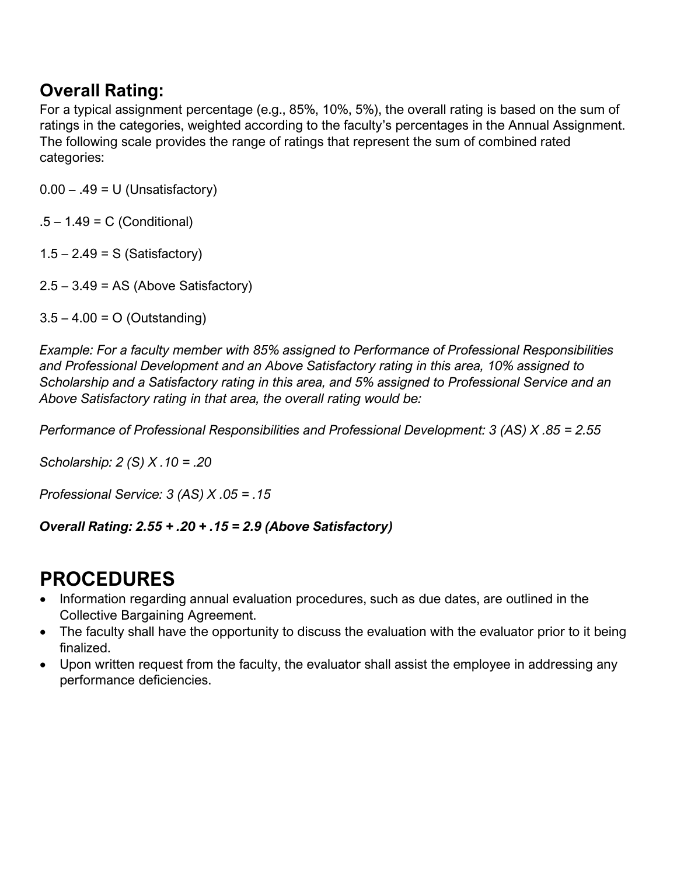#### **Overall Rating:**

For a typical assignment percentage (e.g., 85%, 10%, 5%), the overall rating is based on the sum of ratings in the categories, weighted according to the faculty's percentages in the Annual Assignment. The following scale provides the range of ratings that represent the sum of combined rated categories:

 $0.00 - .49 = U$  (Unsatisfactory)

.5 – 1.49 = C (Conditional)

 $1.5 - 2.49 = S$  (Satisfactory)

 $2.5 - 3.49 = AS$  (Above Satisfactory)

 $3.5 - 4.00 = O$  (Outstanding)

*Example: For a faculty member with 85% assigned to Performance of Professional Responsibilities and Professional Development and an Above Satisfactory rating in this area, 10% assigned to Scholarship and a Satisfactory rating in this area, and 5% assigned to Professional Service and an Above Satisfactory rating in that area, the overall rating would be:*

*Performance of Professional Responsibilities and Professional Development: 3 (AS) X .85 = 2.55*

*Scholarship: 2 (S) X .10 = .20*

*Professional Service: 3 (AS) X .05 = .15*

*Overall Rating: 2.55 + .20 + .15 = 2.9 (Above Satisfactory)*

#### **PROCEDURES**

- Information regarding annual evaluation procedures, such as due dates, are outlined in the Collective Bargaining Agreement.
- The faculty shall have the opportunity to discuss the evaluation with the evaluator prior to it being finalized.
- Upon written request from the faculty, the evaluator shall assist the employee in addressing any performance deficiencies.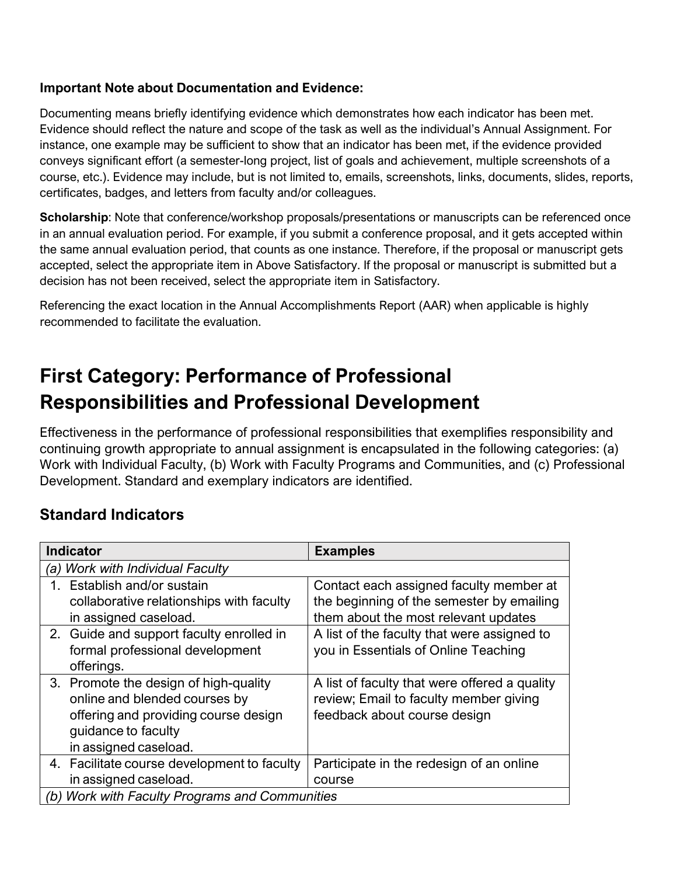#### **Important Note about Documentation and Evidence:**

Documenting means briefly identifying evidence which demonstrates how each indicator has been met. Evidence should reflect the nature and scope of the task as well as the individual's Annual Assignment. For instance, one example may be sufficient to show that an indicator has been met, if the evidence provided conveys significant effort (a semester-long project, list of goals and achievement, multiple screenshots of a course, etc.). Evidence may include, but is not limited to, emails, screenshots, links, documents, slides, reports, certificates, badges, and letters from faculty and/or colleagues.

**Scholarship**: Note that conference/workshop proposals/presentations or manuscripts can be referenced once in an annual evaluation period. For example, if you submit a conference proposal, and it gets accepted within the same annual evaluation period, that counts as one instance. Therefore, if the proposal or manuscript gets accepted, select the appropriate item in Above Satisfactory. If the proposal or manuscript is submitted but a decision has not been received, select the appropriate item in Satisfactory.

Referencing the exact location in the Annual Accomplishments Report (AAR) when applicable is highly recommended to facilitate the evaluation.

### **First Category: Performance of Professional Responsibilities and Professional Development**

Effectiveness in the performance of professional responsibilities that exemplifies responsibility and continuing growth appropriate to annual assignment is encapsulated in the following categories: (a) Work with Individual Faculty, (b) Work with Faculty Programs and Communities, and (c) Professional Development. Standard and exemplary indicators are identified.

#### **Standard Indicators**

| <b>Indicator</b>                                                                                                                                               | <b>Examples</b>                                                                                                              |
|----------------------------------------------------------------------------------------------------------------------------------------------------------------|------------------------------------------------------------------------------------------------------------------------------|
| <b>Work with Individual Faculty</b><br>'a)                                                                                                                     |                                                                                                                              |
| 1. Establish and/or sustain<br>collaborative relationships with faculty<br>in assigned caseload.                                                               | Contact each assigned faculty member at<br>the beginning of the semester by emailing<br>them about the most relevant updates |
| 2. Guide and support faculty enrolled in<br>formal professional development<br>offerings.                                                                      | A list of the faculty that were assigned to<br>you in Essentials of Online Teaching                                          |
| 3. Promote the design of high-quality<br>online and blended courses by<br>offering and providing course design<br>guidance to faculty<br>in assigned caseload. | A list of faculty that were offered a quality<br>review; Email to faculty member giving<br>feedback about course design      |
| 4. Facilitate course development to faculty<br>in assigned caseload.                                                                                           | Participate in the redesign of an online<br>course                                                                           |
| <b>Work with Faculty Programs and Communities</b><br>(b)                                                                                                       |                                                                                                                              |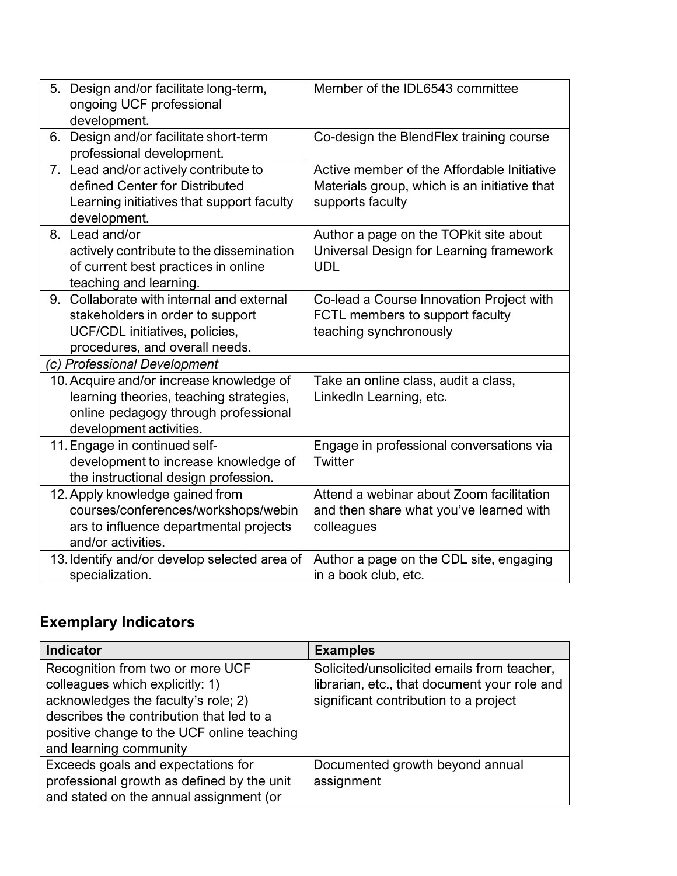| Design and/or facilitate long-term,<br>5.<br>ongoing UCF professional<br>development.                                                                  | Member of the IDL6543 committee                                                                                |
|--------------------------------------------------------------------------------------------------------------------------------------------------------|----------------------------------------------------------------------------------------------------------------|
| Design and/or facilitate short-term<br>6.<br>professional development.                                                                                 | Co-design the BlendFlex training course                                                                        |
| 7. Lead and/or actively contribute to<br>defined Center for Distributed<br>Learning initiatives that support faculty<br>development.                   | Active member of the Affordable Initiative<br>Materials group, which is an initiative that<br>supports faculty |
| Lead and/or<br>8.<br>actively contribute to the dissemination<br>of current best practices in online<br>teaching and learning.                         | Author a page on the TOP kit site about<br>Universal Design for Learning framework<br><b>UDL</b>               |
| Collaborate with internal and external<br>9.<br>stakeholders in order to support<br>UCF/CDL initiatives, policies,<br>procedures, and overall needs.   | Co-lead a Course Innovation Project with<br>FCTL members to support faculty<br>teaching synchronously          |
| (c) Professional Development                                                                                                                           |                                                                                                                |
| 10. Acquire and/or increase knowledge of<br>learning theories, teaching strategies,<br>online pedagogy through professional<br>development activities. | Take an online class, audit a class,<br>LinkedIn Learning, etc.                                                |
| 11. Engage in continued self-<br>development to increase knowledge of<br>the instructional design profession.                                          | Engage in professional conversations via<br>Twitter                                                            |
| 12. Apply knowledge gained from<br>courses/conferences/workshops/webin<br>ars to influence departmental projects<br>and/or activities.                 | Attend a webinar about Zoom facilitation<br>and then share what you've learned with<br>colleagues              |
| 13. Identify and/or develop selected area of<br>specialization.                                                                                        | Author a page on the CDL site, engaging<br>in a book club, etc.                                                |

### **Exemplary Indicators**

| <b>Indicator</b>                           | <b>Examples</b>                              |
|--------------------------------------------|----------------------------------------------|
| Recognition from two or more UCF           | Solicited/unsolicited emails from teacher,   |
| colleagues which explicitly: 1)            | librarian, etc., that document your role and |
| acknowledges the faculty's role; 2)        | significant contribution to a project        |
| describes the contribution that led to a   |                                              |
| positive change to the UCF online teaching |                                              |
| and learning community                     |                                              |
| Exceeds goals and expectations for         | Documented growth beyond annual              |
| professional growth as defined by the unit | assignment                                   |
| and stated on the annual assignment (or    |                                              |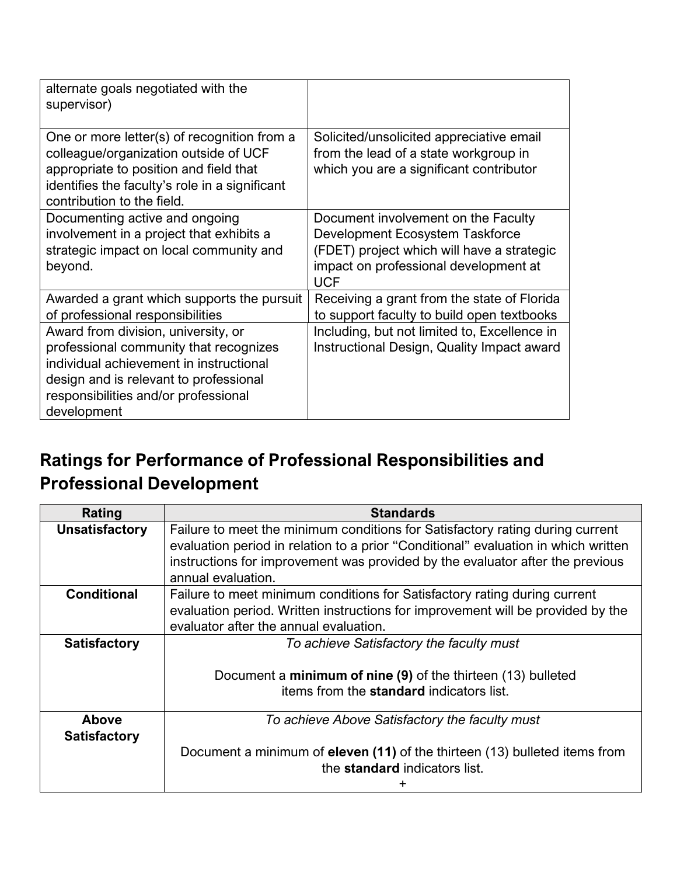| alternate goals negotiated with the<br>supervisor)                                                                                                                                                                        |                                                                                                                                                                             |
|---------------------------------------------------------------------------------------------------------------------------------------------------------------------------------------------------------------------------|-----------------------------------------------------------------------------------------------------------------------------------------------------------------------------|
| One or more letter(s) of recognition from a<br>colleague/organization outside of UCF<br>appropriate to position and field that<br>identifies the faculty's role in a significant<br>contribution to the field.            | Solicited/unsolicited appreciative email<br>from the lead of a state workgroup in<br>which you are a significant contributor                                                |
| Documenting active and ongoing<br>involvement in a project that exhibits a<br>strategic impact on local community and<br>beyond.                                                                                          | Document involvement on the Faculty<br>Development Ecosystem Taskforce<br>(FDET) project which will have a strategic<br>impact on professional development at<br><b>UCF</b> |
| Awarded a grant which supports the pursuit<br>of professional responsibilities                                                                                                                                            | Receiving a grant from the state of Florida<br>to support faculty to build open textbooks                                                                                   |
| Award from division, university, or<br>professional community that recognizes<br>individual achievement in instructional<br>design and is relevant to professional<br>responsibilities and/or professional<br>development | Including, but not limited to, Excellence in<br>Instructional Design, Quality Impact award                                                                                  |

#### **Ratings for Performance of Professional Responsibilities and Professional Development**

| Rating                              | <b>Standards</b>                                                                                                                                                                                                                                                           |
|-------------------------------------|----------------------------------------------------------------------------------------------------------------------------------------------------------------------------------------------------------------------------------------------------------------------------|
| <b>Unsatisfactory</b>               | Failure to meet the minimum conditions for Satisfactory rating during current<br>evaluation period in relation to a prior "Conditional" evaluation in which written<br>instructions for improvement was provided by the evaluator after the previous<br>annual evaluation. |
| <b>Conditional</b>                  | Failure to meet minimum conditions for Satisfactory rating during current<br>evaluation period. Written instructions for improvement will be provided by the<br>evaluator after the annual evaluation.                                                                     |
| <b>Satisfactory</b>                 | To achieve Satisfactory the faculty must<br>Document a minimum of nine (9) of the thirteen (13) bulleted<br>items from the <b>standard</b> indicators list.                                                                                                                |
| <b>Above</b><br><b>Satisfactory</b> | To achieve Above Satisfactory the faculty must<br>Document a minimum of eleven (11) of the thirteen (13) bulleted items from<br>the <b>standard</b> indicators list.                                                                                                       |
|                                     |                                                                                                                                                                                                                                                                            |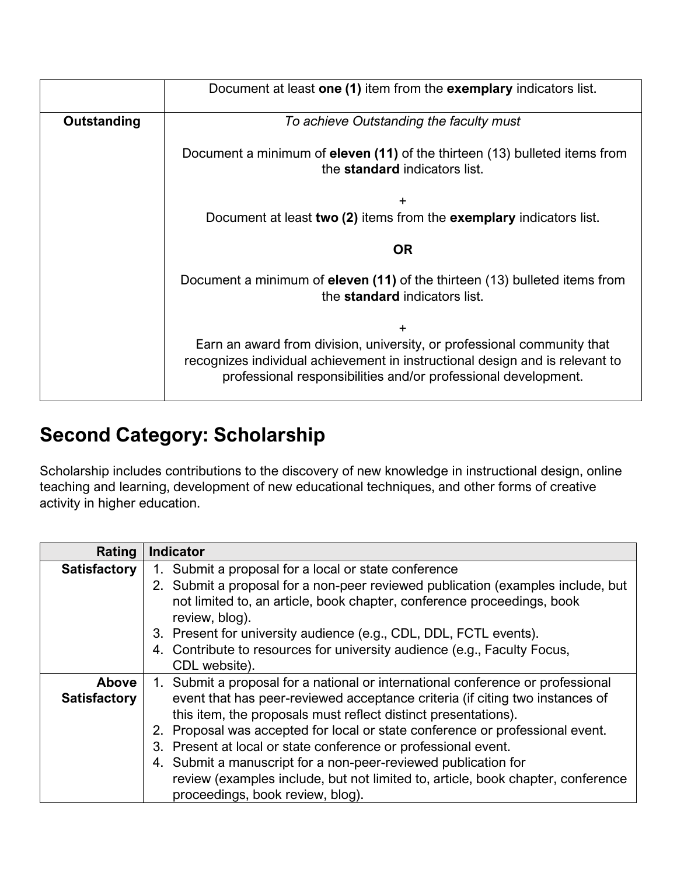|             | Document at least one (1) item from the exemplary indicators list.                                                                                                                                                        |  |
|-------------|---------------------------------------------------------------------------------------------------------------------------------------------------------------------------------------------------------------------------|--|
| Outstanding | To achieve Outstanding the faculty must                                                                                                                                                                                   |  |
|             | Document a minimum of eleven (11) of the thirteen (13) bulleted items from<br>the <b>standard</b> indicators list.                                                                                                        |  |
|             | +<br>Document at least two (2) items from the exemplary indicators list.                                                                                                                                                  |  |
|             | OR.                                                                                                                                                                                                                       |  |
|             | Document a minimum of <b>eleven (11)</b> of the thirteen (13) bulleted items from<br>the <b>standard</b> indicators list.                                                                                                 |  |
|             | +                                                                                                                                                                                                                         |  |
|             | Earn an award from division, university, or professional community that<br>recognizes individual achievement in instructional design and is relevant to<br>professional responsibilities and/or professional development. |  |

# **Second Category: Scholarship**

Scholarship includes contributions to the discovery of new knowledge in instructional design, online teaching and learning, development of new educational techniques, and other forms of creative activity in higher education.

| Rating              | <b>Indicator</b>                                                                                                                                                            |
|---------------------|-----------------------------------------------------------------------------------------------------------------------------------------------------------------------------|
| <b>Satisfactory</b> | Submit a proposal for a local or state conference<br>1.                                                                                                                     |
|                     | 2. Submit a proposal for a non-peer reviewed publication (examples include, but<br>not limited to, an article, book chapter, conference proceedings, book<br>review, blog). |
|                     | 3. Present for university audience (e.g., CDL, DDL, FCTL events).                                                                                                           |
|                     | 4. Contribute to resources for university audience (e.g., Faculty Focus,                                                                                                    |
|                     | CDL website).                                                                                                                                                               |
| Above               | 1. Submit a proposal for a national or international conference or professional                                                                                             |
| <b>Satisfactory</b> | event that has peer-reviewed acceptance criteria (if citing two instances of                                                                                                |
|                     | this item, the proposals must reflect distinct presentations).                                                                                                              |
|                     | 2. Proposal was accepted for local or state conference or professional event.                                                                                               |
|                     | 3. Present at local or state conference or professional event.                                                                                                              |
|                     | 4. Submit a manuscript for a non-peer-reviewed publication for                                                                                                              |
|                     | review (examples include, but not limited to, article, book chapter, conference<br>proceedings, book review, blog).                                                         |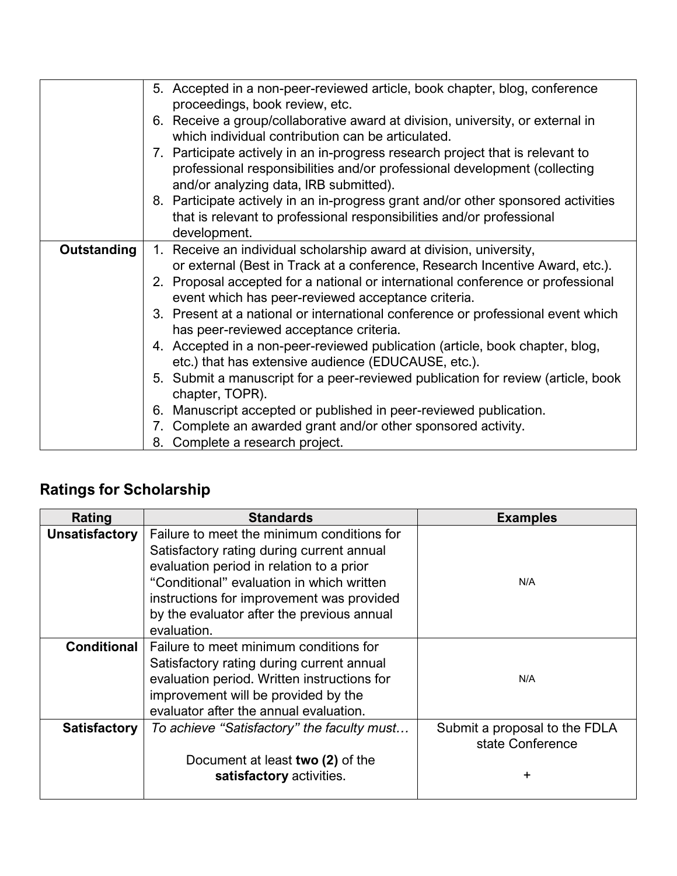|             | 5. Accepted in a non-peer-reviewed article, book chapter, blog, conference<br>proceedings, book review, etc.                                                                                                          |
|-------------|-----------------------------------------------------------------------------------------------------------------------------------------------------------------------------------------------------------------------|
|             | 6. Receive a group/collaborative award at division, university, or external in<br>which individual contribution can be articulated.                                                                                   |
|             | 7. Participate actively in an in-progress research project that is relevant to<br>professional responsibilities and/or professional development (collecting                                                           |
|             | and/or analyzing data, IRB submitted).<br>8. Participate actively in an in-progress grant and/or other sponsored activities<br>that is relevant to professional responsibilities and/or professional<br>development.  |
| Outstanding | 1. Receive an individual scholarship award at division, university,                                                                                                                                                   |
|             | or external (Best in Track at a conference, Research Incentive Award, etc.).<br>2. Proposal accepted for a national or international conference or professional<br>event which has peer-reviewed acceptance criteria. |
|             | 3. Present at a national or international conference or professional event which<br>has peer-reviewed acceptance criteria.                                                                                            |
|             | 4. Accepted in a non-peer-reviewed publication (article, book chapter, blog,<br>etc.) that has extensive audience (EDUCAUSE, etc.).                                                                                   |
|             | 5. Submit a manuscript for a peer-reviewed publication for review (article, book<br>chapter, TOPR).                                                                                                                   |
|             | 6. Manuscript accepted or published in peer-reviewed publication.                                                                                                                                                     |
|             | 7. Complete an awarded grant and/or other sponsored activity.                                                                                                                                                         |
|             | 8. Complete a research project.                                                                                                                                                                                       |

#### **Ratings for Scholarship**

| Rating                | <b>Standards</b>                                                                                                                                                                                                              | <b>Examples</b>                                   |
|-----------------------|-------------------------------------------------------------------------------------------------------------------------------------------------------------------------------------------------------------------------------|---------------------------------------------------|
| <b>Unsatisfactory</b> | Failure to meet the minimum conditions for<br>Satisfactory rating during current annual<br>evaluation period in relation to a prior<br>"Conditional" evaluation in which written<br>instructions for improvement was provided | N/A                                               |
|                       | by the evaluator after the previous annual<br>evaluation.                                                                                                                                                                     |                                                   |
| <b>Conditional</b>    | Failure to meet minimum conditions for<br>Satisfactory rating during current annual<br>evaluation period. Written instructions for<br>improvement will be provided by the<br>evaluator after the annual evaluation.           | N/A                                               |
| <b>Satisfactory</b>   | To achieve "Satisfactory" the faculty must                                                                                                                                                                                    | Submit a proposal to the FDLA<br>state Conference |
|                       | Document at least two (2) of the<br>satisfactory activities.                                                                                                                                                                  | +                                                 |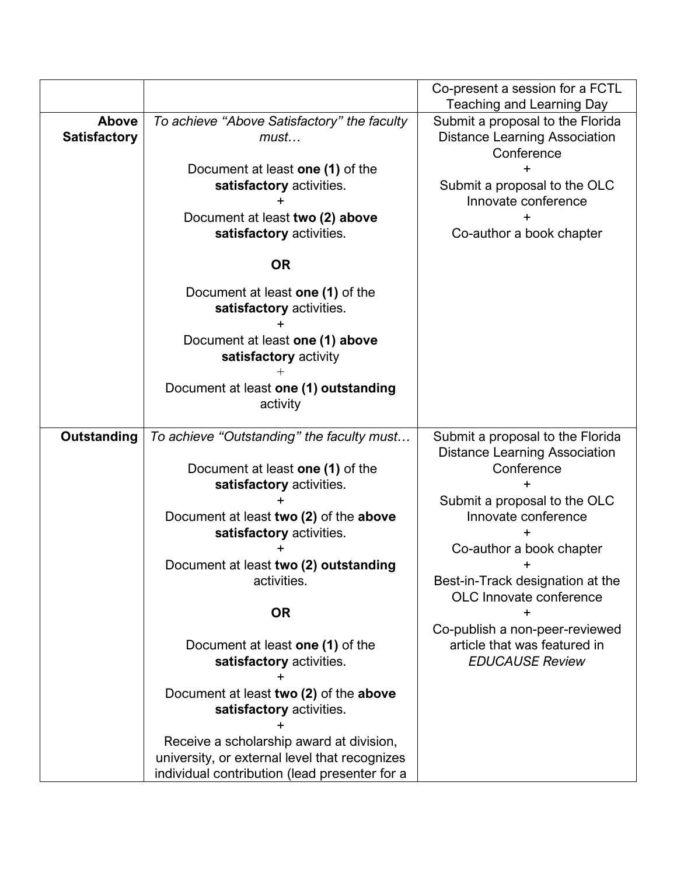|                                     |                                                                                                                                            | Co-present a session for a FCTL<br><b>Teaching and Learning Day</b>                                                                           |
|-------------------------------------|--------------------------------------------------------------------------------------------------------------------------------------------|-----------------------------------------------------------------------------------------------------------------------------------------------|
| <b>Above</b><br><b>Satisfactory</b> | To achieve "Above Satisfactory" the faculty<br>must<br>Document at least one (1) of the<br>satisfactory activities.                        | Submit a proposal to the Florida<br><b>Distance Learning Association</b><br>Conference<br>Submit a proposal to the OLC<br>Innovate conference |
|                                     | Document at least two (2) above<br>satisfactory activities.                                                                                | Co-author a book chapter                                                                                                                      |
|                                     | <b>OR</b>                                                                                                                                  |                                                                                                                                               |
|                                     | Document at least one (1) of the<br>satisfactory activities.                                                                               |                                                                                                                                               |
|                                     | Document at least one (1) above<br>satisfactory activity                                                                                   |                                                                                                                                               |
|                                     | Document at least one (1) outstanding<br>activity                                                                                          |                                                                                                                                               |
| <b>Outstanding</b>                  | To achieve "Outstanding" the faculty must                                                                                                  | Submit a proposal to the Florida<br><b>Distance Learning Association</b>                                                                      |
|                                     | Document at least one (1) of the<br>satisfactory activities.                                                                               | Conference                                                                                                                                    |
|                                     | Document at least two (2) of the above<br>satisfactory activities.                                                                         | Submit a proposal to the OLC<br>Innovate conference                                                                                           |
|                                     | Document at least two (2) outstanding                                                                                                      | Co-author a book chapter<br>+                                                                                                                 |
|                                     | activities.                                                                                                                                | Best-in-Track designation at the<br>OLC Innovate conference                                                                                   |
|                                     | <b>OR</b>                                                                                                                                  | $\pm$<br>Co-publish a non-peer-reviewed                                                                                                       |
|                                     | Document at least one (1) of the<br>satisfactory activities.                                                                               | article that was featured in<br><b>EDUCAUSE Review</b>                                                                                        |
|                                     | Document at least two (2) of the above<br>satisfactory activities.                                                                         |                                                                                                                                               |
|                                     | Receive a scholarship award at division,<br>university, or external level that recognizes<br>individual contribution (lead presenter for a |                                                                                                                                               |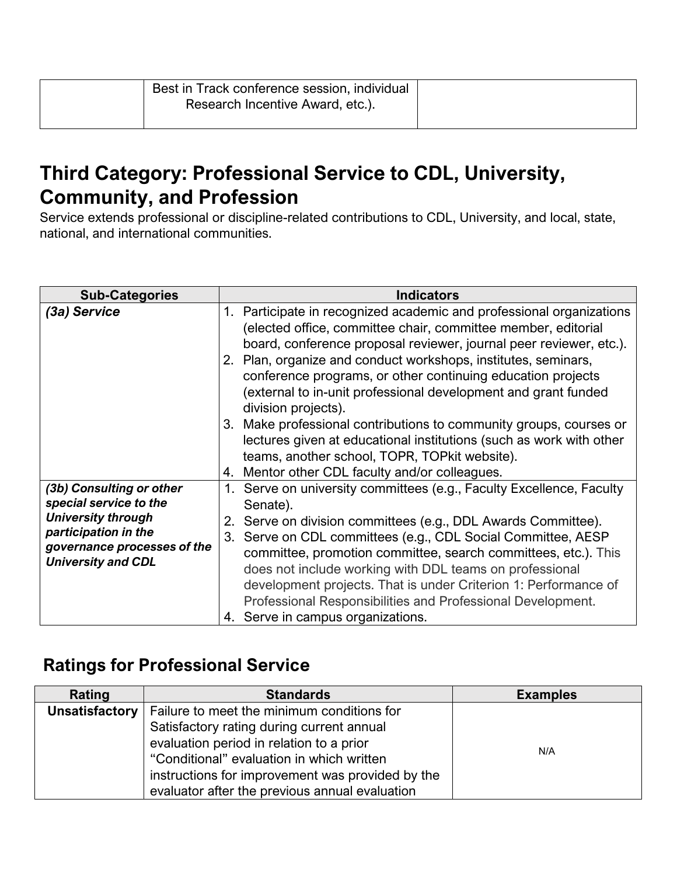| Best in Track conference session, individual |  |
|----------------------------------------------|--|
| Research Incentive Award, etc.).             |  |
|                                              |  |

#### **Third Category: Professional Service to CDL, University, Community, and Profession**

Service extends professional or discipline-related contributions to CDL, University, and local, state, national, and international communities.

| <b>Sub-Categories</b>                                                                                                                                               | <b>Indicators</b>                                                                                                                                                                                                                                                                                                                                                                                                                                                                                                                                                                                                                                                                     |
|---------------------------------------------------------------------------------------------------------------------------------------------------------------------|---------------------------------------------------------------------------------------------------------------------------------------------------------------------------------------------------------------------------------------------------------------------------------------------------------------------------------------------------------------------------------------------------------------------------------------------------------------------------------------------------------------------------------------------------------------------------------------------------------------------------------------------------------------------------------------|
| (3a) Service                                                                                                                                                        | 1. Participate in recognized academic and professional organizations<br>(elected office, committee chair, committee member, editorial<br>board, conference proposal reviewer, journal peer reviewer, etc.).<br>2. Plan, organize and conduct workshops, institutes, seminars,<br>conference programs, or other continuing education projects<br>(external to in-unit professional development and grant funded<br>division projects).<br>3. Make professional contributions to community groups, courses or<br>lectures given at educational institutions (such as work with other<br>teams, another school, TOPR, TOPkit website).<br>4. Mentor other CDL faculty and/or colleagues. |
| (3b) Consulting or other<br>special service to the<br><b>University through</b><br>participation in the<br>governance processes of the<br><b>University and CDL</b> | Serve on university committees (e.g., Faculty Excellence, Faculty<br>1.<br>Senate).<br>2. Serve on division committees (e.g., DDL Awards Committee).<br>3. Serve on CDL committees (e.g., CDL Social Committee, AESP<br>committee, promotion committee, search committees, etc.). This<br>does not include working with DDL teams on professional<br>development projects. That is under Criterion 1: Performance of<br>Professional Responsibilities and Professional Development.<br>4. Serve in campus organizations.                                                                                                                                                              |

#### **Ratings for Professional Service**

| Rating | <b>Standards</b>                                                   | <b>Examples</b> |
|--------|--------------------------------------------------------------------|-----------------|
|        | <b>Unsatisfactory</b>   Failure to meet the minimum conditions for |                 |
|        | Satisfactory rating during current annual                          |                 |
|        | evaluation period in relation to a prior                           | N/A             |
|        | "Conditional" evaluation in which written                          |                 |
|        | instructions for improvement was provided by the                   |                 |
|        | evaluator after the previous annual evaluation                     |                 |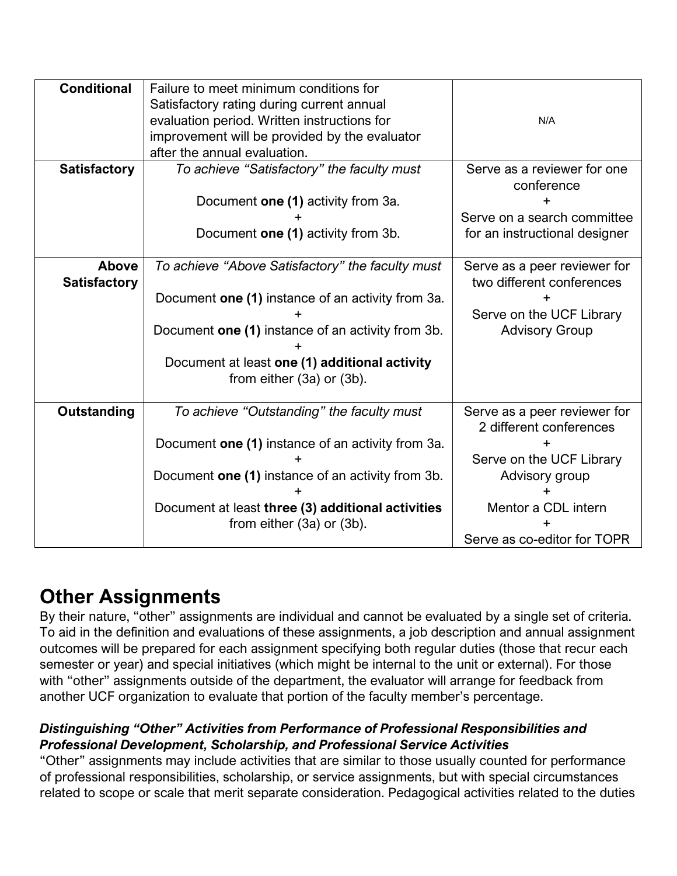| <b>Conditional</b>  | Failure to meet minimum conditions for            |                               |
|---------------------|---------------------------------------------------|-------------------------------|
|                     | Satisfactory rating during current annual         |                               |
|                     | evaluation period. Written instructions for       | N/A                           |
|                     | improvement will be provided by the evaluator     |                               |
|                     | after the annual evaluation.                      |                               |
| <b>Satisfactory</b> | To achieve "Satisfactory" the faculty must        | Serve as a reviewer for one   |
|                     |                                                   | conference                    |
|                     | Document one (1) activity from 3a.                |                               |
|                     |                                                   | Serve on a search committee   |
|                     | Document one (1) activity from 3b.                | for an instructional designer |
|                     |                                                   |                               |
| Above               | To achieve "Above Satisfactory" the faculty must  | Serve as a peer reviewer for  |
| <b>Satisfactory</b> |                                                   | two different conferences     |
|                     | Document one (1) instance of an activity from 3a. |                               |
|                     |                                                   | Serve on the UCF Library      |
|                     | Document one (1) instance of an activity from 3b. | <b>Advisory Group</b>         |
|                     |                                                   |                               |
|                     | Document at least one (1) additional activity     |                               |
|                     | from either (3a) or (3b).                         |                               |
|                     |                                                   |                               |
| <b>Outstanding</b>  | To achieve "Outstanding" the faculty must         | Serve as a peer reviewer for  |
|                     |                                                   | 2 different conferences       |
|                     | Document one (1) instance of an activity from 3a. |                               |
|                     |                                                   | Serve on the UCF Library      |
|                     | Document one (1) instance of an activity from 3b. | Advisory group                |
|                     |                                                   |                               |
|                     | Document at least three (3) additional activities | Mentor a CDL intern           |
|                     | from either (3a) or (3b).                         |                               |
|                     |                                                   | Serve as co-editor for TOPR   |
|                     |                                                   |                               |

#### **Other Assignments**

By their nature, "other" assignments are individual and cannot be evaluated by a single set of criteria. To aid in the definition and evaluations of these assignments, a job description and annual assignment outcomes will be prepared for each assignment specifying both regular duties (those that recur each semester or year) and special initiatives (which might be internal to the unit or external). For those with "other" assignments outside of the department, the evaluator will arrange for feedback from another UCF organization to evaluate that portion of the faculty member's percentage.

#### *Distinguishing "Other" Activities from Performance of Professional Responsibilities and Professional Development, Scholarship, and Professional Service Activities*

"Other" assignments may include activities that are similar to those usually counted for performance of professional responsibilities, scholarship, or service assignments, but with special circumstances related to scope or scale that merit separate consideration. Pedagogical activities related to the duties